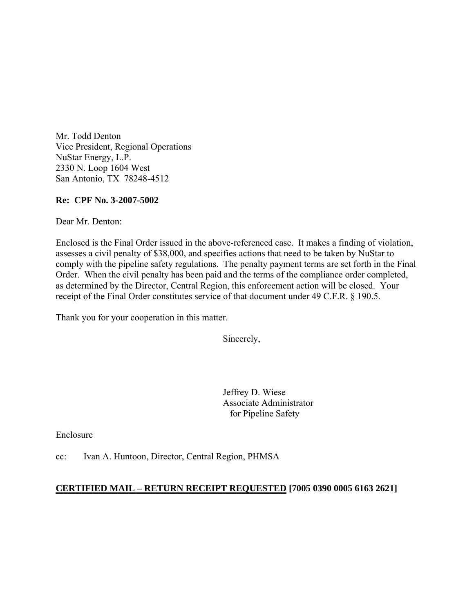Mr. Todd Denton Vice President, Regional Operations NuStar Energy, L.P. 2330 N. Loop 1604 West San Antonio, TX 78248-4512

### **Re: CPF No. 3-2007-5002**

Dear Mr. Denton:

Enclosed is the Final Order issued in the above-referenced case. It makes a finding of violation, assesses a civil penalty of \$38,000, and specifies actions that need to be taken by NuStar to comply with the pipeline safety regulations. The penalty payment terms are set forth in the Final Order. When the civil penalty has been paid and the terms of the compliance order completed, as determined by the Director, Central Region, this enforcement action will be closed. Your receipt of the Final Order constitutes service of that document under 49 C.F.R. § 190.5.

Thank you for your cooperation in this matter.

Sincerely,

Jeffrey D. Wiese Associate Administrator for Pipeline Safety

Enclosure

cc: Ivan A. Huntoon, Director, Central Region, PHMSA

### **CERTIFIED MAIL – RETURN RECEIPT REQUESTED [7005 0390 0005 6163 2621]**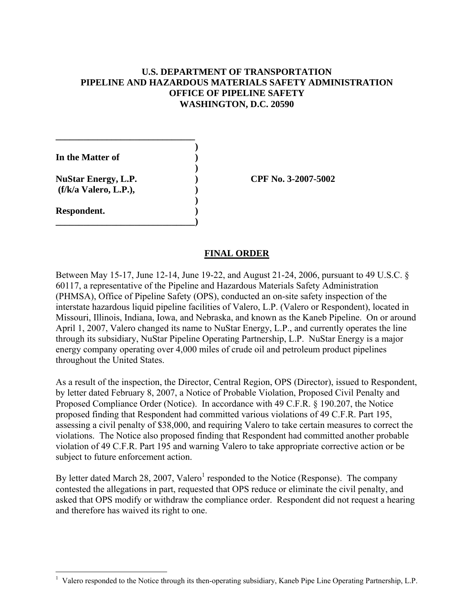## **U.S. DEPARTMENT OF TRANSPORTATION PIPELINE AND HAZARDOUS MATERIALS SAFETY ADMINISTRATION OFFICE OF PIPELINE SAFETY WASHINGTON, D.C. 20590**

 **) In the Matter of )** 

 **) (f/k/a Valero, L.P.), )**

**\_\_\_\_\_\_\_\_\_\_\_\_\_\_\_\_\_\_\_\_\_\_\_\_\_\_\_\_\_\_** 

**)** 

**\_\_\_\_\_\_\_\_\_\_\_\_\_\_\_\_\_\_\_\_\_\_\_\_\_\_\_\_\_\_)** 

**Respondent. )** 

**NuStar Energy, L.P. ) CPF No. 3-2007-5002** 

## **FINAL ORDER**

Between May 15-17, June 12-14, June 19-22, and August 21-24, 2006, pursuant to 49 U.S.C. § 60117, a representative of the Pipeline and Hazardous Materials Safety Administration (PHMSA), Office of Pipeline Safety (OPS), conducted an on-site safety inspection of the interstate hazardous liquid pipeline facilities of Valero, L.P. (Valero or Respondent), located in Missouri, Illinois, Indiana, Iowa, and Nebraska, and known as the Kaneb Pipeline. On or around April 1, 2007, Valero changed its name to NuStar Energy, L.P., and currently operates the line through its subsidiary, NuStar Pipeline Operating Partnership, L.P. NuStar Energy is a major energy company operating over 4,000 miles of crude oil and petroleum product pipelines throughout the United States.

As a result of the inspection, the Director, Central Region, OPS (Director), issued to Respondent, by letter dated February 8, 2007, a Notice of Probable Violation, Proposed Civil Penalty and Proposed Compliance Order (Notice). In accordance with 49 C.F.R. § 190.207, the Notice proposed finding that Respondent had committed various violations of 49 C.F.R. Part 195, assessing a civil penalty of \$38,000, and requiring Valero to take certain measures to correct the violations. The Notice also proposed finding that Respondent had committed another probable violation of 49 C.F.R. Part 195 and warning Valero to take appropriate corrective action or be subject to future enforcement action.

By letter dated March 28, 2007, Valero<sup>1</sup> responded to the Notice (Response). The company contested the allegations in part, requested that OPS reduce or eliminate the civil penalty, and asked that OPS modify or withdraw the compliance order. Respondent did not request a hearing and therefore has waived its right to one.

 $\overline{a}$ <sup>1</sup> Valero responded to the Notice through its then-operating subsidiary, Kaneb Pipe Line Operating Partnership, L.P.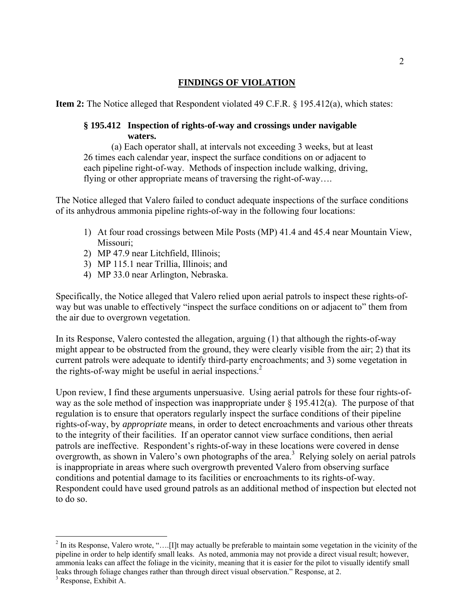# **FINDINGS OF VIOLATION**

**Item 2:** The Notice alleged that Respondent violated 49 C.F.R. § 195.412(a), which states:

### **§ 195.412 Inspection of rights-of-way and crossings under navigable waters.**

(a) Each operator shall, at intervals not exceeding 3 weeks, but at least 26 times each calendar year, inspect the surface conditions on or adjacent to each pipeline right-of-way. Methods of inspection include walking, driving, flying or other appropriate means of traversing the right-of-way….

The Notice alleged that Valero failed to conduct adequate inspections of the surface conditions of its anhydrous ammonia pipeline rights-of-way in the following four locations:

- 1) At four road crossings between Mile Posts (MP) 41.4 and 45.4 near Mountain View, Missouri;
- 2) MP 47.9 near Litchfield, Illinois;
- 3) MP 115.1 near Trillia, Illinois; and
- 4) MP 33.0 near Arlington, Nebraska.

Specifically, the Notice alleged that Valero relied upon aerial patrols to inspect these rights-ofway but was unable to effectively "inspect the surface conditions on or adjacent to" them from the air due to overgrown vegetation.

In its Response, Valero contested the allegation, arguing (1) that although the rights-of-way might appear to be obstructed from the ground, they were clearly visible from the air; 2) that its current patrols were adequate to identify third-party encroachments; and 3) some vegetation in the rights-of-way might be useful in aerial inspections. $<sup>2</sup>$ </sup>

Upon review, I find these arguments unpersuasive. Using aerial patrols for these four rights-ofway as the sole method of inspection was inappropriate under  $\S$  195.412(a). The purpose of that regulation is to ensure that operators regularly inspect the surface conditions of their pipeline rights-of-way, by *appropriate* means, in order to detect encroachments and various other threats to the integrity of their facilities. If an operator cannot view surface conditions, then aerial patrols are ineffective. Respondent's rights-of-way in these locations were covered in dense overgrowth, as shown in Valero's own photographs of the area.<sup>3</sup> Relying solely on aerial patrols is inappropriate in areas where such overgrowth prevented Valero from observing surface conditions and potential damage to its facilities or encroachments to its rights-of-way. Respondent could have used ground patrols as an additional method of inspection but elected not to do so.

1

 $2^{2}$  In its Response, Valero wrote, "....[I]t may actually be preferable to maintain some vegetation in the vicinity of the pipeline in order to help identify small leaks. As noted, ammonia may not provide a direct visual result; however, ammonia leaks can affect the foliage in the vicinity, meaning that it is easier for the pilot to visually identify small leaks through foliage changes rather than through direct visual observation." Response, at 2.

<sup>3</sup> Response, Exhibit A.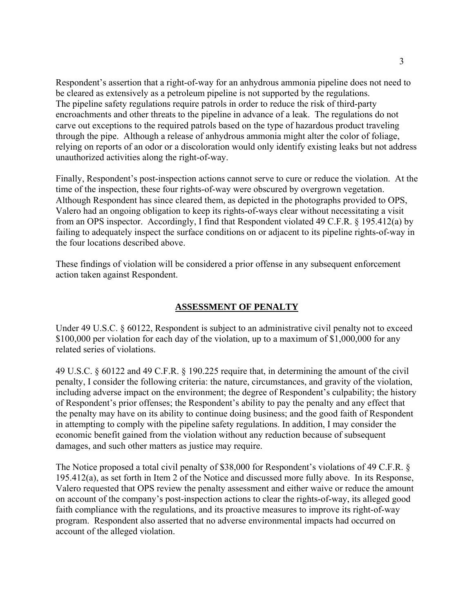Respondent's assertion that a right-of-way for an anhydrous ammonia pipeline does not need to be cleared as extensively as a petroleum pipeline is not supported by the regulations. The pipeline safety regulations require patrols in order to reduce the risk of third-party encroachments and other threats to the pipeline in advance of a leak. The regulations do not carve out exceptions to the required patrols based on the type of hazardous product traveling through the pipe. Although a release of anhydrous ammonia might alter the color of foliage, relying on reports of an odor or a discoloration would only identify existing leaks but not address unauthorized activities along the right-of-way.

Finally, Respondent's post-inspection actions cannot serve to cure or reduce the violation. At the time of the inspection, these four rights-of-way were obscured by overgrown vegetation. Although Respondent has since cleared them, as depicted in the photographs provided to OPS, Valero had an ongoing obligation to keep its rights-of-ways clear without necessitating a visit from an OPS inspector. Accordingly, I find that Respondent violated 49 C.F.R. § 195.412(a) by failing to adequately inspect the surface conditions on or adjacent to its pipeline rights-of-way in the four locations described above.

These findings of violation will be considered a prior offense in any subsequent enforcement action taken against Respondent.

## **ASSESSMENT OF PENALTY**

Under 49 U.S.C. § 60122, Respondent is subject to an administrative civil penalty not to exceed \$100,000 per violation for each day of the violation, up to a maximum of \$1,000,000 for any related series of violations.

49 U.S.C. § 60122 and 49 C.F.R. § 190.225 require that, in determining the amount of the civil penalty, I consider the following criteria: the nature, circumstances, and gravity of the violation, including adverse impact on the environment; the degree of Respondent's culpability; the history of Respondent's prior offenses; the Respondent's ability to pay the penalty and any effect that the penalty may have on its ability to continue doing business; and the good faith of Respondent in attempting to comply with the pipeline safety regulations. In addition, I may consider the economic benefit gained from the violation without any reduction because of subsequent damages, and such other matters as justice may require.

The Notice proposed a total civil penalty of \$38,000 for Respondent's violations of 49 C.F.R. § 195.412(a), as set forth in Item 2 of the Notice and discussed more fully above. In its Response, Valero requested that OPS review the penalty assessment and either waive or reduce the amount on account of the company's post-inspection actions to clear the rights-of-way, its alleged good faith compliance with the regulations, and its proactive measures to improve its right-of-way program. Respondent also asserted that no adverse environmental impacts had occurred on account of the alleged violation.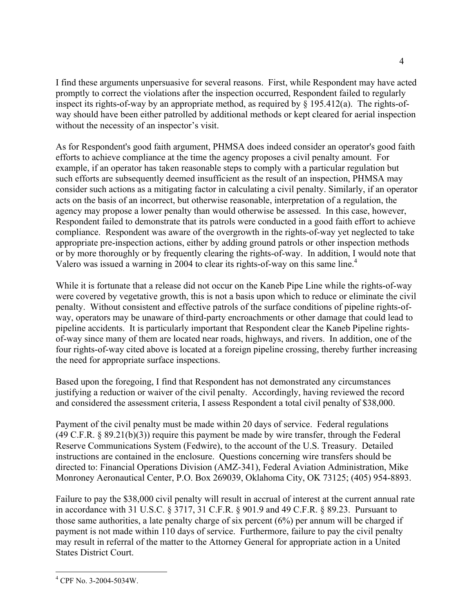I find these arguments unpersuasive for several reasons. First, while Respondent may have acted promptly to correct the violations after the inspection occurred, Respondent failed to regularly inspect its rights-of-way by an appropriate method, as required by  $\S$  195.412(a). The rights-ofway should have been either patrolled by additional methods or kept cleared for aerial inspection without the necessity of an inspector's visit.

As for Respondent's good faith argument, PHMSA does indeed consider an operator's good faith efforts to achieve compliance at the time the agency proposes a civil penalty amount. For example, if an operator has taken reasonable steps to comply with a particular regulation but such efforts are subsequently deemed insufficient as the result of an inspection, PHMSA may consider such actions as a mitigating factor in calculating a civil penalty. Similarly, if an operator acts on the basis of an incorrect, but otherwise reasonable, interpretation of a regulation, the agency may propose a lower penalty than would otherwise be assessed. In this case, however, Respondent failed to demonstrate that its patrols were conducted in a good faith effort to achieve compliance. Respondent was aware of the overgrowth in the rights-of-way yet neglected to take appropriate pre-inspection actions, either by adding ground patrols or other inspection methods or by more thoroughly or by frequently clearing the rights-of-way. In addition, I would note that Valero was issued a warning in 2004 to clear its rights-of-way on this same line.<sup>4</sup>

While it is fortunate that a release did not occur on the Kaneb Pipe Line while the rights-of-way were covered by vegetative growth, this is not a basis upon which to reduce or eliminate the civil penalty. Without consistent and effective patrols of the surface conditions of pipeline rights-ofway, operators may be unaware of third-party encroachments or other damage that could lead to pipeline accidents. It is particularly important that Respondent clear the Kaneb Pipeline rightsof-way since many of them are located near roads, highways, and rivers. In addition, one of the four rights-of-way cited above is located at a foreign pipeline crossing, thereby further increasing the need for appropriate surface inspections.

Based upon the foregoing, I find that Respondent has not demonstrated any circumstances justifying a reduction or waiver of the civil penalty. Accordingly, having reviewed the record and considered the assessment criteria, I assess Respondent a total civil penalty of \$38,000.

Payment of the civil penalty must be made within 20 days of service. Federal regulations (49 C.F.R. § 89.21(b)(3)) require this payment be made by wire transfer, through the Federal Reserve Communications System (Fedwire), to the account of the U.S. Treasury. Detailed instructions are contained in the enclosure. Questions concerning wire transfers should be directed to: Financial Operations Division (AMZ-341), Federal Aviation Administration, Mike Monroney Aeronautical Center, P.O. Box 269039, Oklahoma City, OK 73125; (405) 954-8893.

Failure to pay the \$38,000 civil penalty will result in accrual of interest at the current annual rate in accordance with 31 U.S.C. § 3717, 31 C.F.R. § 901.9 and 49 C.F.R. § 89.23. Pursuant to those same authorities, a late penalty charge of six percent (6%) per annum will be charged if payment is not made within 110 days of service. Furthermore, failure to pay the civil penalty may result in referral of the matter to the Attorney General for appropriate action in a United States District Court.

<u>.</u>

<sup>4</sup> CPF No. 3-2004-5034W.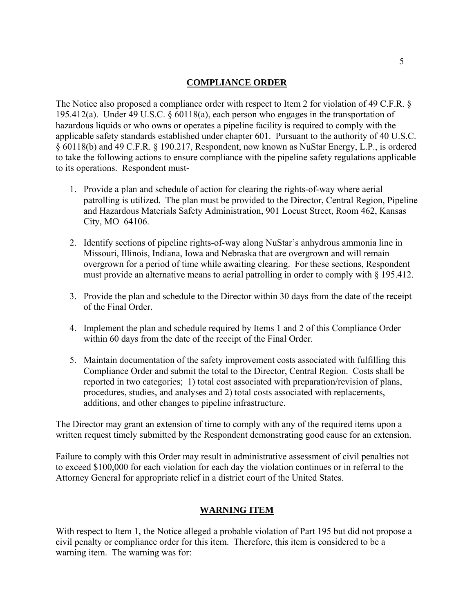### **COMPLIANCE ORDER**

The Notice also proposed a compliance order with respect to Item 2 for violation of 49 C.F.R. § 195.412(a). Under 49 U.S.C. § 60118(a), each person who engages in the transportation of hazardous liquids or who owns or operates a pipeline facility is required to comply with the applicable safety standards established under chapter 601. Pursuant to the authority of 40 U.S.C. § 60118(b) and 49 C.F.R. § 190.217, Respondent, now known as NuStar Energy, L.P., is ordered to take the following actions to ensure compliance with the pipeline safety regulations applicable to its operations. Respondent must-

- 1. Provide a plan and schedule of action for clearing the rights-of-way where aerial patrolling is utilized. The plan must be provided to the Director, Central Region, Pipeline and Hazardous Materials Safety Administration, 901 Locust Street, Room 462, Kansas City, MO 64106.
- 2. Identify sections of pipeline rights-of-way along NuStar's anhydrous ammonia line in Missouri, Illinois, Indiana, Iowa and Nebraska that are overgrown and will remain overgrown for a period of time while awaiting clearing. For these sections, Respondent must provide an alternative means to aerial patrolling in order to comply with § 195.412.
- 3. Provide the plan and schedule to the Director within 30 days from the date of the receipt of the Final Order.
- 4. Implement the plan and schedule required by Items 1 and 2 of this Compliance Order within 60 days from the date of the receipt of the Final Order.
- 5. Maintain documentation of the safety improvement costs associated with fulfilling this Compliance Order and submit the total to the Director, Central Region. Costs shall be reported in two categories; 1) total cost associated with preparation/revision of plans, procedures, studies, and analyses and 2) total costs associated with replacements, additions, and other changes to pipeline infrastructure.

The Director may grant an extension of time to comply with any of the required items upon a written request timely submitted by the Respondent demonstrating good cause for an extension.

Failure to comply with this Order may result in administrative assessment of civil penalties not to exceed \$100,000 for each violation for each day the violation continues or in referral to the Attorney General for appropriate relief in a district court of the United States.

#### **WARNING ITEM**

With respect to Item 1, the Notice alleged a probable violation of Part 195 but did not propose a civil penalty or compliance order for this item. Therefore, this item is considered to be a warning item. The warning was for: